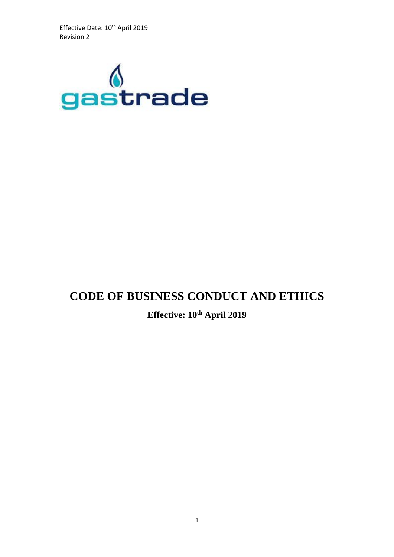Effective Date: 10<sup>th</sup> April 2019 Revision 2



# **CODE OF BUSINESS CONDUCT AND ETHICS**

## **Effective: 10th April 2019**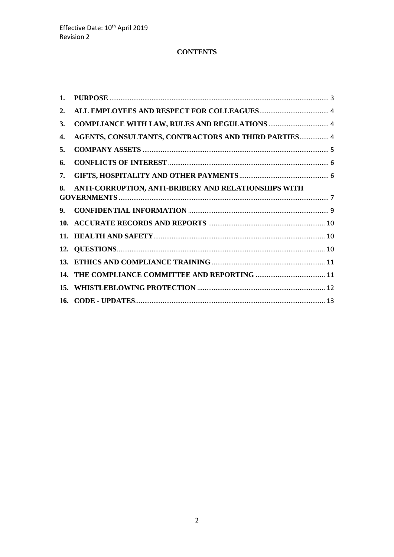## **CONTENTS**

| 1. |                                                      |  |
|----|------------------------------------------------------|--|
| 2. |                                                      |  |
| 3. |                                                      |  |
| 4. | AGENTS, CONSULTANTS, CONTRACTORS AND THIRD PARTIES 4 |  |
| 5. |                                                      |  |
| 6. |                                                      |  |
| 7. |                                                      |  |
| 8. | ANTI-CORRUPTION, ANTI-BRIBERY AND RELATIONSHIPS WITH |  |
| 9. |                                                      |  |
|    |                                                      |  |
|    |                                                      |  |
|    |                                                      |  |
|    |                                                      |  |
|    |                                                      |  |
|    |                                                      |  |
|    |                                                      |  |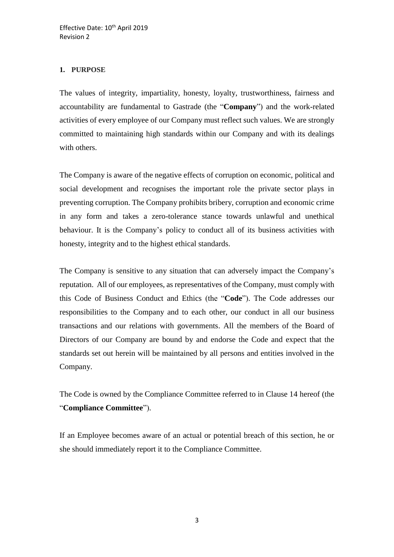## <span id="page-2-0"></span>**1. PURPOSE**

The values of integrity, impartiality, honesty, loyalty, trustworthiness, fairness and accountability are fundamental to Gastrade (the "**Company**") and the work-related activities of every employee of our Company must reflect such values. We are strongly committed to maintaining high standards within our Company and with its dealings with others.

The Company is aware of the negative effects of corruption on economic, political and social development and recognises the important role the private sector plays in preventing corruption. The Company prohibits bribery, corruption and economic crime in any form and takes a zero-tolerance stance towards unlawful and unethical behaviour. It is the Company's policy to conduct all of its business activities with honesty, integrity and to the highest ethical standards.

The Company is sensitive to any situation that can adversely impact the Company's reputation. All of our employees, as representatives of the Company, must comply with this Code of Business Conduct and Ethics (the "**Code**"). The Code addresses our responsibilities to the Company and to each other, our conduct in all our business transactions and our relations with governments. All the members of the Board of Directors of our Company are bound by and endorse the Code and expect that the standards set out herein will be maintained by all persons and entities involved in the Company.

The Code is owned by the Compliance Committee referred to in Clause 14 hereof (the "**Compliance Committee**").

If an Employee becomes aware of an actual or potential breach of this section, he or she should immediately report it to the Compliance Committee.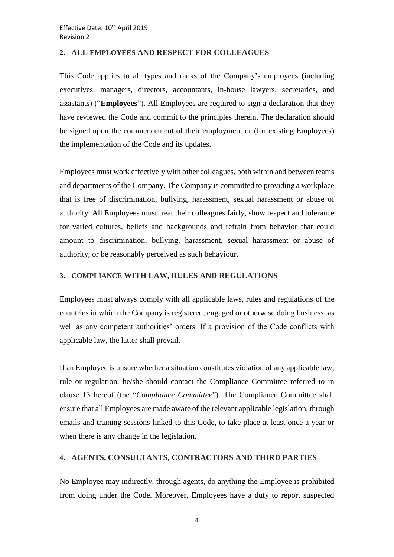## <span id="page-3-0"></span>**2. ALL EMPLOYEES AND RESPECT FOR COLLEAGUES**

This Code applies to all types and ranks of the Company's employees (including executives, managers, directors, accountants, in-house lawyers, secretaries, and assistants) ("**Employees**"). All Employees are required to sign a declaration that they have reviewed the Code and commit to the principles therein. The declaration should be signed upon the commencement of their employment or (for existing Employees) the implementation of the Code and its updates.

Employees must work effectively with other colleagues, both within and between teams and departments of the Company. The Company is committed to providing a workplace that is free of discrimination, bullying, harassment, sexual harassment or abuse of authority. All Employees must treat their colleagues fairly, show respect and tolerance for varied cultures, beliefs and backgrounds and refrain from behavior that could amount to discrimination, bullying, harassment, sexual harassment or abuse of authority, or be reasonably perceived as such behaviour.

#### <span id="page-3-1"></span>**3. COMPLIANCE WITH LAW, RULES AND REGULATIONS**

Employees must always comply with all applicable laws, rules and regulations of the countries in which the Company is registered, engaged or otherwise doing business, as well as any competent authorities' orders. If a provision of the Code conflicts with applicable law, the latter shall prevail.

If an Employee is unsure whether a situation constitutes violation of any applicable law, rule or regulation, he/she should contact the Compliance Committee referred to in clause 13 hereof (the "*Compliance Committee*"). The Compliance Committee shall ensure that all Employees are made aware of the relevant applicable legislation, through emails and training sessions linked to this Code, to take place at least once a year or when there is any change in the legislation.

#### <span id="page-3-2"></span>**4. AGENTS, CONSULTANTS, CONTRACTORS AND THIRD PARTIES**

No Employee may indirectly, through agents, do anything the Employee is prohibited from doing under the Code. Moreover, Employees have a duty to report suspected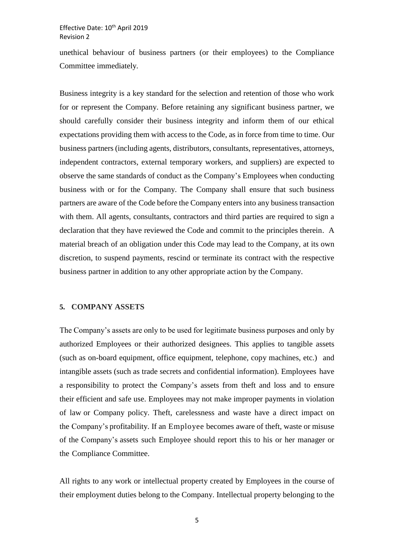#### Effective Date: 10<sup>th</sup> April 2019 Revision 2

unethical behaviour of business partners (or their employees) to the Compliance Committee immediately.

Business integrity is a key standard for the selection and retention of those who work for or represent the Company. Before retaining any significant business partner, we should carefully consider their business integrity and inform them of our ethical expectations providing them with access to the Code, as in force from time to time. Our business partners (including agents, distributors, consultants, representatives, attorneys, independent contractors, external temporary workers, and suppliers) are expected to observe the same standards of conduct as the Company's Employees when conducting business with or for the Company. The Company shall ensure that such business partners are aware of the Code before the Company enters into any business transaction with them. All agents, consultants, contractors and third parties are required to sign a declaration that they have reviewed the Code and commit to the principles therein. A material breach of an obligation under this Code may lead to the Company, at its own discretion, to suspend payments, rescind or terminate its contract with the respective business partner in addition to any other appropriate action by the Company.

#### <span id="page-4-0"></span>**5. COMPANY ASSETS**

The Company's assets are only to be used for legitimate business purposes and only by authorized Employees or their authorized designees. This applies to tangible assets (such as on-board equipment, office equipment, telephone, copy machines, etc.) and intangible assets (such as trade secrets and confidential information). Employees have a responsibility to protect the Company's assets from theft and loss and to ensure their efficient and safe use. Employees may not make improper payments in violation of law or Company policy. Theft, carelessness and waste have a direct impact on the Company's profitability. If an Employee becomes aware of theft, waste or misuse of the Company's assets such Employee should report this to his or her manager or the Compliance Committee.

All rights to any work or intellectual property created by Employees in the course of their employment duties belong to the Company. Intellectual property belonging to the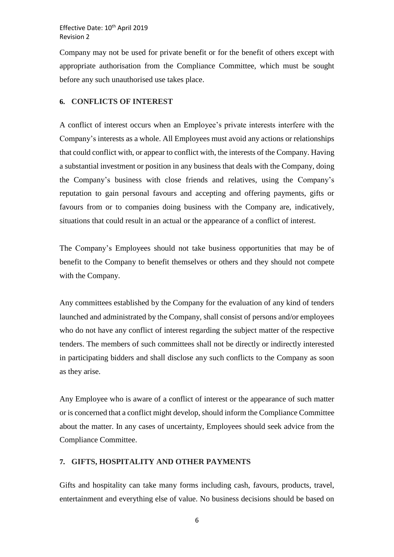Effective Date: 10<sup>th</sup> April 2019 Revision 2

Company may not be used for private benefit or for the benefit of others except with appropriate authorisation from the Compliance Committee, which must be sought before any such unauthorised use takes place.

#### <span id="page-5-0"></span>**6. CONFLICTS OF INTEREST**

A conflict of interest occurs when an Employee's private interests interfere with the Company's interests as a whole. All Employees must avoid any actions or relationships that could conflict with, or appear to conflict with, the interests of the Company. Having a substantial investment or position in any business that deals with the Company, doing the Company's business with close friends and relatives, using the Company's reputation to gain personal favours and accepting and offering payments, gifts or favours from or to companies doing business with the Company are, indicatively, situations that could result in an actual or the appearance of a conflict of interest.

The Company's Employees should not take business opportunities that may be of benefit to the Company to benefit themselves or others and they should not compete with the Company.

Any committees established by the Company for the evaluation of any kind of tenders launched and administrated by the Company, shall consist of persons and/or employees who do not have any conflict of interest regarding the subject matter of the respective tenders. The members of such committees shall not be directly or indirectly interested in participating bidders and shall disclose any such conflicts to the Company as soon as they arise.

Any Employee who is aware of a conflict of interest or the appearance of such matter or is concerned that a conflict might develop, should inform the Compliance Committee about the matter. In any cases of uncertainty, Employees should seek advice from the Compliance Committee.

#### <span id="page-5-1"></span>**7. GIFTS, HOSPITALITY AND OTHER PAYMENTS**

Gifts and hospitality can take many forms including cash, favours, products, travel, entertainment and everything else of value. No business decisions should be based on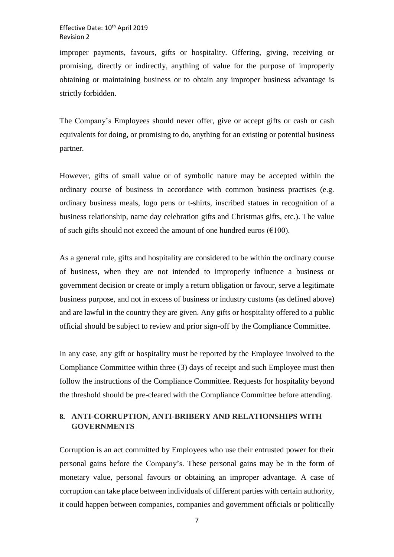improper payments, favours, gifts or hospitality. Offering, giving, receiving or promising, directly or indirectly, anything of value for the purpose of improperly obtaining or maintaining business or to obtain any improper business advantage is strictly forbidden.

The Company's Employees should never offer, give or accept gifts or cash or cash equivalents for doing, or promising to do, anything for an existing or potential business partner.

However, gifts of small value or of symbolic nature may be accepted within the ordinary course of business in accordance with common business practises (e.g. ordinary business meals, logo pens or t-shirts, inscribed statues in recognition of a business relationship, name day celebration gifts and Christmas gifts, etc.). The value of such gifts should not exceed the amount of one hundred euros ( $€100$ ).

As a general rule, gifts and hospitality are considered to be within the ordinary course of business, when they are not intended to improperly influence a business or government decision or create or imply a return obligation or favour, serve a legitimate business purpose, and not in excess of business or industry customs (as defined above) and are lawful in the country they are given. Any gifts or hospitality offered to a public official should be subject to review and prior sign-off by the Compliance Committee.

In any case, any gift or hospitality must be reported by the Employee involved to the Compliance Committee within three (3) days of receipt and such Employee must then follow the instructions of the Compliance Committee. Requests for hospitality beyond the threshold should be pre-cleared with the Compliance Committee before attending.

## <span id="page-6-0"></span>**8. ANTI-CORRUPTION, ANTI-BRIBERY AND RELATIONSHIPS WITH GOVERNMENTS**

Corruption is an act committed by Employees who use their entrusted power for their personal gains before the Company's. These personal gains may be in the form of monetary value, personal favours or obtaining an improper advantage. A case of corruption can take place between individuals of different parties with certain authority, it could happen between companies, companies and government officials or politically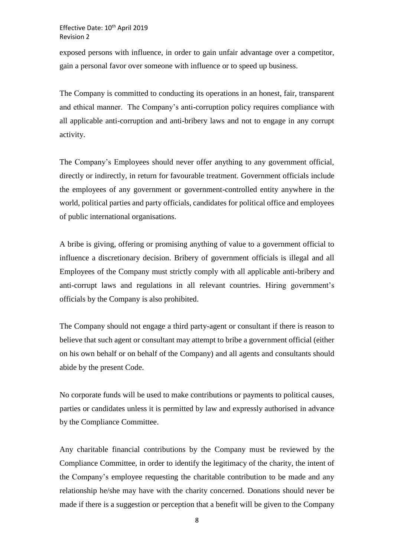exposed persons with influence, in order to gain unfair advantage over a competitor, gain a personal favor over someone with influence or to speed up business.

The Company is committed to conducting its operations in an honest, fair, transparent and ethical manner. The Company's anti-corruption policy requires compliance with all applicable anti-corruption and anti-bribery laws and not to engage in any corrupt activity.

The Company's Employees should never offer anything to any government official, directly or indirectly, in return for favourable treatment. Government officials include the employees of any government or government-controlled entity anywhere in the world, political parties and party officials, candidates for political office and employees of public international organisations.

A bribe is giving, offering or promising anything of value to a government official to influence a discretionary decision. Bribery of government officials is illegal and all Employees of the Company must strictly comply with all applicable anti-bribery and anti-corrupt laws and regulations in all relevant countries. Hiring government's officials by the Company is also prohibited.

The Company should not engage a third party-agent or consultant if there is reason to believe that such agent or consultant may attempt to bribe a government official (either on his own behalf or on behalf of the Company) and all agents and consultants should abide by the present Code.

No corporate funds will be used to make contributions or payments to political causes, parties or candidates unless it is permitted by law and expressly authorised in advance by the Compliance Committee.

Any charitable financial contributions by the Company must be reviewed by the Compliance Committee, in order to identify the legitimacy of the charity, the intent of the Company's employee requesting the charitable contribution to be made and any relationship he/she may have with the charity concerned. Donations should never be made if there is a suggestion or perception that a benefit will be given to the Company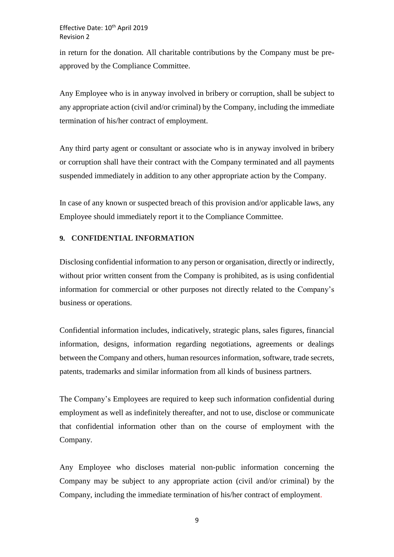in return for the donation. All charitable contributions by the Company must be preapproved by the Compliance Committee.

Any Employee who is in anyway involved in bribery or corruption, shall be subject to any appropriate action (civil and/or criminal) by the Company, including the immediate termination of his/her contract of employment.

Any third party agent or consultant or associate who is in anyway involved in bribery or corruption shall have their contract with the Company terminated and all payments suspended immediately in addition to any other appropriate action by the Company.

In case of any known or suspected breach of this provision and/or applicable laws, any Employee should immediately report it to the Compliance Committee.

## <span id="page-8-0"></span>**9. CONFIDENTIAL INFORMATION**

Disclosing confidential information to any person or organisation, directly or indirectly, without prior written consent from the Company is prohibited, as is using confidential information for commercial or other purposes not directly related to the Company's business or operations.

Confidential information includes, indicatively, strategic plans, sales figures, financial information, designs, information regarding negotiations, agreements or dealings between the Company and others, human resources information, software, trade secrets, patents, trademarks and similar information from all kinds of business partners.

The Company's Employees are required to keep such information confidential during employment as well as indefinitely thereafter, and not to use, disclose or communicate that confidential information other than on the course of employment with the Company.

Any Employee who discloses material non-public information concerning the Company may be subject to any appropriate action (civil and/or criminal) by the Company, including the immediate termination of his/her contract of employment.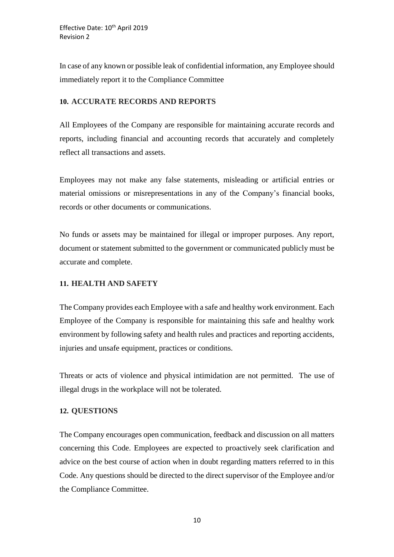In case of any known or possible leak of confidential information, any Employee should immediately report it to the Compliance Committee

## <span id="page-9-0"></span>**10. ACCURATE RECORDS AND REPORTS**

All Employees of the Company are responsible for maintaining accurate records and reports, including financial and accounting records that accurately and completely reflect all transactions and assets.

Employees may not make any false statements, misleading or artificial entries or material omissions or misrepresentations in any of the Company's financial books, records or other documents or communications.

No funds or assets may be maintained for illegal or improper purposes. Any report, document or statement submitted to the government or communicated publicly must be accurate and complete.

## <span id="page-9-1"></span>**11. HEALTH AND SAFETY**

The Company provides each Employee with a safe and healthy work environment. Each Employee of the Company is responsible for maintaining this safe and healthy work environment by following safety and health rules and practices and reporting accidents, injuries and unsafe equipment, practices or conditions.

Threats or acts of violence and physical intimidation are not permitted. The use of illegal drugs in the workplace will not be tolerated.

## <span id="page-9-2"></span>**12. QUESTIONS**

The Company encourages open communication, feedback and discussion on all matters concerning this Code. Employees are expected to proactively seek clarification and advice on the best course of action when in doubt regarding matters referred to in this Code. Any questions should be directed to the direct supervisor of the Employee and/or the Compliance Committee.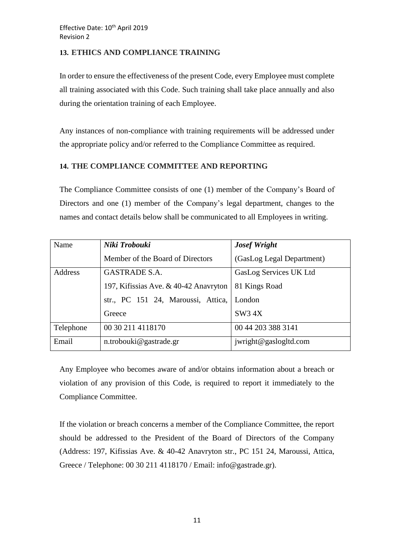## <span id="page-10-0"></span>**13. ETHICS AND COMPLIANCE TRAINING**

In order to ensure the effectiveness of the present Code, every Employee must complete all training associated with this Code. Such training shall take place annually and also during the orientation training of each Employee.

Any instances of non-compliance with training requirements will be addressed under the appropriate policy and/or referred to the Compliance Committee as required.

## <span id="page-10-1"></span>**14. THE COMPLIANCE COMMITTEE AND REPORTING**

The Compliance Committee consists of one (1) member of the Company's Board of Directors and one (1) member of the Company's legal department, changes to the names and contact details below shall be communicated to all Employees in writing.

| Name      | Niki Trobouki                         | <b>Josef Wright</b>       |
|-----------|---------------------------------------|---------------------------|
|           | Member of the Board of Directors      | (GasLog Legal Department) |
| Address   | GASTRADE S.A.                         | GasLog Services UK Ltd    |
|           | 197, Kifissias Ave. & 40-42 Anavryton | 81 Kings Road             |
|           | str., PC 151 24, Maroussi, Attica,    | London                    |
|           | Greece                                | SW34X                     |
| Telephone | 00 30 211 4118170                     | 00 44 203 388 3141        |
| Email     | n.trobouki@gastrade.gr                | jwright@gaslogltd.com     |

Any Employee who becomes aware of and/or obtains information about a breach or violation of any provision of this Code, is required to report it immediately to the Compliance Committee.

If the violation or breach concerns a member of the Compliance Committee, the report should be addressed to the President of the Board of Directors of the Company (Address: 197, Kifissias Ave. & 40-42 Anavryton str., PC 151 24, Maroussi, Attica, Greece / Telephone: 00 30 211 4118170 / Email: info@gastrade.gr).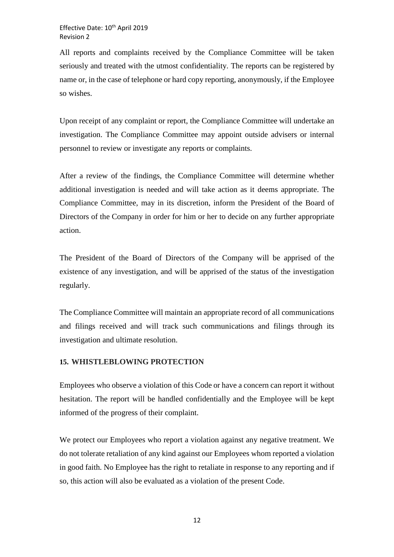All reports and complaints received by the Compliance Committee will be taken seriously and treated with the utmost confidentiality. The reports can be registered by name or, in the case of telephone or hard copy reporting, anonymously, if the Employee so wishes.

Upon receipt of any complaint or report, the Compliance Committee will undertake an investigation. The Compliance Committee may appoint outside advisers or internal personnel to review or investigate any reports or complaints.

After a review of the findings, the Compliance Committee will determine whether additional investigation is needed and will take action as it deems appropriate. The Compliance Committee, may in its discretion, inform the President of the Board of Directors of the Company in order for him or her to decide on any further appropriate action.

The President of the Board of Directors of the Company will be apprised of the existence of any investigation, and will be apprised of the status of the investigation regularly.

The Compliance Committee will maintain an appropriate record of all communications and filings received and will track such communications and filings through its investigation and ultimate resolution.

## <span id="page-11-0"></span>**15. WHISTLEBLOWING PROTECTION**

Employees who observe a violation of this Code or have a concern can report it without hesitation. The report will be handled confidentially and the Employee will be kept informed of the progress of their complaint.

We protect our Employees who report a violation against any negative treatment. We do not tolerate retaliation of any kind against our Employees whom reported a violation in good faith. No Employee has the right to retaliate in response to any reporting and if so, this action will also be evaluated as a violation of the present Code.